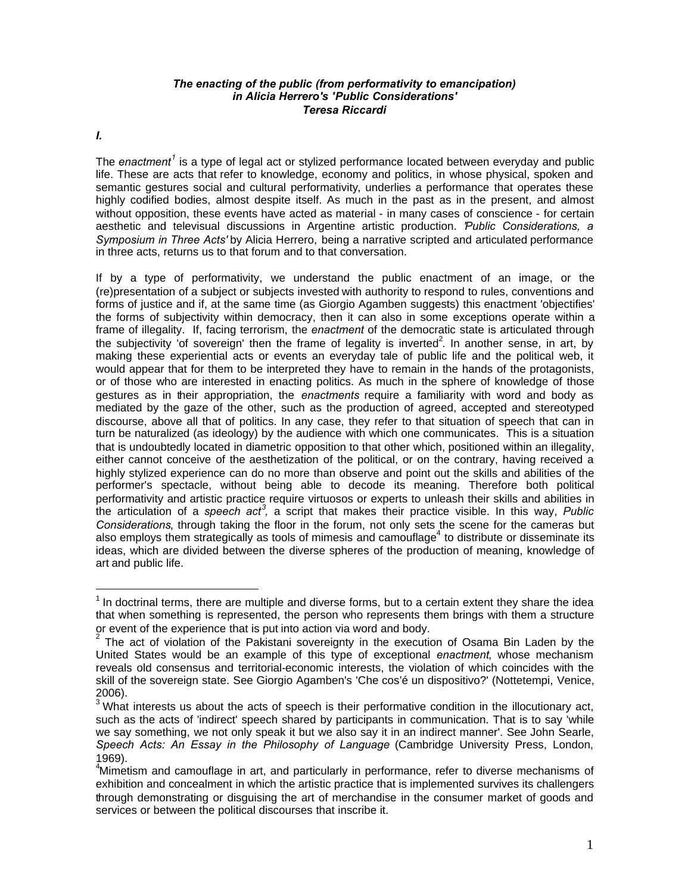## *The enacting of the public (from performativity to emancipation) in Alicia Herrero's 'Public Considerations' Teresa Riccardi*

*I.*

The *enactment<sup>1</sup>* is a type of legal act or stylized performance located between everyday and public life. These are acts that refer to knowledge, economy and politics, in whose physical, spoken and semantic gestures social and cultural performativity, underlies a performance that operates these highly codified bodies, almost despite itself. As much in the past as in the present, and almost without opposition, these events have acted as material - in many cases of conscience - for certain aesthetic and televisual discussions in Argentine artistic production. *'Public Considerations, a Symposium in Three Acts'* by Alicia Herrero, being a narrative scripted and articulated performance in three acts, returns us to that forum and to that conversation.

If by a type of performativity, we understand the public enactment of an image, or the (re)presentation of a subject or subjects invested with authority to respond to rules, conventions and forms of justice and if, at the same time (as Giorgio Agamben suggests) this enactment 'objectifies' the forms of subjectivity within democracy, then it can also in some exceptions operate within a frame of illegality. If, facing terrorism, the *enactment* of the democratic state is articulated through the subjectivity 'of sovereign' then the frame of legality is inverted<sup>2</sup>. In another sense, in art, by making these experiential acts or events an everyday tale of public life and the political web, it would appear that for them to be interpreted they have to remain in the hands of the protagonists, or of those who are interested in enacting politics. As much in the sphere of knowledge of those gestures as in their appropriation, the *enactments* require a familiarity with word and body as mediated by the gaze of the other, such as the production of agreed, accepted and stereotyped discourse, above all that of politics. In any case, they refer to that situation of speech that can in turn be naturalized (as ideology) by the audience with which one communicates. This is a situation that is undoubtedly located in diametric opposition to that other which, positioned within an illegality, either cannot conceive of the aesthetization of the political, or on the contrary, having received a highly stylized experience can do no more than observe and point out the skills and abilities of the performer's spectacle, without being able to decode its meaning. Therefore both political performativity and artistic practice require virtuosos or experts to unleash their skills and abilities in the articulation of a speech act<sup>3</sup>, a script that makes their practice visible. In this way, Public *Considerations*, through taking the floor in the forum, not only sets the scene for the cameras but also employs them strategically as tools of mimesis and camouflage<sup>4</sup> to distribute or disseminate its ideas, which are divided between the diverse spheres of the production of meaning, knowledge of art and public life.

 $<sup>1</sup>$  In doctrinal terms, there are multiple and diverse forms, but to a certain extent they share the idea</sup> that when something is represented, the person who represents them brings with them a structure or event of the experience that is put into action via word and body.

<sup>2</sup> The act of violation of the Pakistani sovereignty in the execution of Osama Bin Laden by the United States would be an example of this type of exceptional *enactment*, whose mechanism reveals old consensus and territorial-economic interests, the violation of which coincides with the skill of the sovereign state. See Giorgio Agamben's 'Che cos'é un dispositivo?' (Nottetempi, Venice, 2006).

 $3$  What interests us about the acts of speech is their performative condition in the illocutionary act, such as the acts of 'indirect' speech shared by participants in communication. That is to say 'while we say something, we not only speak it but we also say it in an indirect manner'. See John Searle, *Speech Acts: An Essay in the Philosophy of Language* (Cambridge University Press, London, 1969).

<sup>4</sup>Mimetism and camouflage in art, and particularly in performance, refer to diverse mechanisms of exhibition and concealment in which the artistic practice that is implemented survives its challengers through demonstrating or disguising the art of merchandise in the consumer market of goods and services or between the political discourses that inscribe it.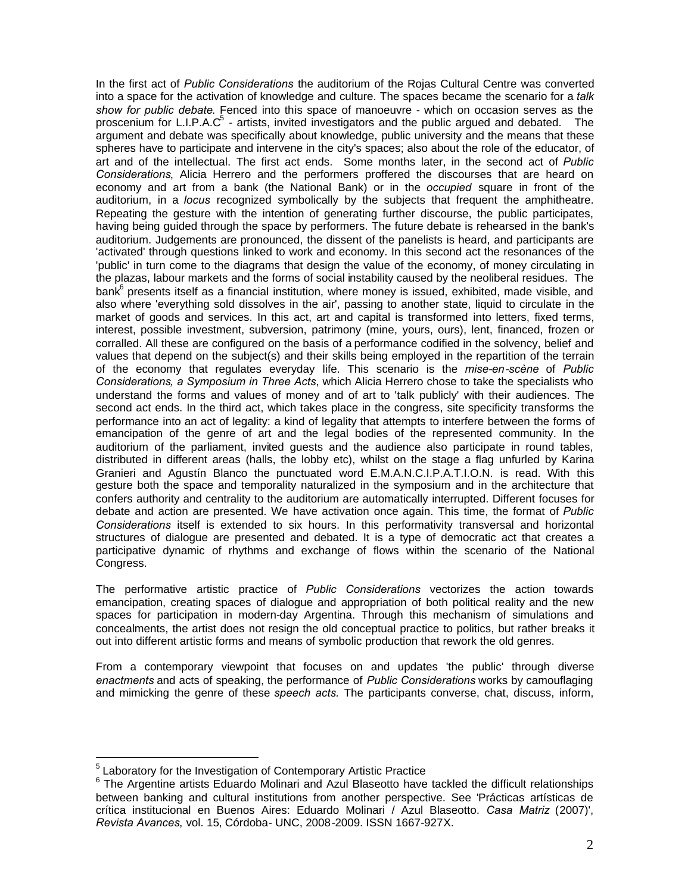In the first act of *Public Considerations* the auditorium of the Rojas Cultural Centre was converted into a space for the activation of knowledge and culture. The spaces became the scenario for a *talk show for public debate*. Fenced into this space of manoeuvre - which on occasion serves as the proscenium for L.I.P.A.C $^5$  - artists, invited investigators and the public argued and debated. The argument and debate was specifically about knowledge, public university and the means that these spheres have to participate and intervene in the city's spaces; also about the role of the educator, of art and of the intellectual. The first act ends. Some months later, in the second act of *Public Considerations*, Alicia Herrero and the performers proffered the discourses that are heard on economy and art from a bank (the National Bank) or in the *occupied* square in front of the auditorium, in a *locus* recognized symbolically by the subjects that frequent the amphitheatre. Repeating the gesture with the intention of generating further discourse, the public participates, having being guided through the space by performers. The future debate is rehearsed in the bank's auditorium. Judgements are pronounced, the dissent of the panelists is heard, and participants are 'activated' through questions linked to work and economy. In this second act the resonances of the 'public' in turn come to the diagrams that design the value of the economy, of money circulating in the plazas, labour markets and the forms of social instability caused by the neoliberal residues. The bank<sup>6</sup> presents itself as a financial institution, where money is issued, exhibited, made visible, and also where 'everything sold dissolves in the air', passing to another state, liquid to circulate in the market of goods and services. In this act, art and capital is transformed into letters, fixed terms, interest, possible investment, subversion, patrimony (mine, yours, ours), lent, financed, frozen or corralled. All these are configured on the basis of a performance codified in the solvency, belief and values that depend on the subject(s) and their skills being employed in the repartition of the terrain of the economy that regulates everyday life. This scenario is the *mise-en-scène* of *Public Considerations, a Symposium in Three Acts*, which Alicia Herrero chose to take the specialists who understand the forms and values of money and of art to 'talk publicly' with their audiences. The second act ends. In the third act, which takes place in the congress, site specificity transforms the performance into an act of legality: a kind of legality that attempts to interfere between the forms of emancipation of the genre of art and the legal bodies of the represented community. In the auditorium of the parliament, invited guests and the audience also participate in round tables, distributed in different areas (halls, the lobby etc), whilst on the stage a flag unfurled by Karina Granieri and Agustín Blanco the punctuated word E.M.A.N.C.I.P.A.T.I.O.N. is read. With this gesture both the space and temporality naturalized in the symposium and in the architecture that confers authority and centrality to the auditorium are automatically interrupted. Different focuses for debate and action are presented. We have activation once again. This time, the format of *Public Considerations* itself is extended to six hours. In this performativity transversal and horizontal structures of dialogue are presented and debated. It is a type of democratic act that creates a participative dynamic of rhythms and exchange of flows within the scenario of the National Congress.

The performative artistic practice of *Public Considerations* vectorizes the action towards emancipation, creating spaces of dialogue and appropriation of both political reality and the new spaces for participation in modern-day Argentina. Through this mechanism of simulations and concealments, the artist does not resign the old conceptual practice to politics, but rather breaks it out into different artistic forms and means of symbolic production that rework the old genres.

From a contemporary viewpoint that focuses on and updates 'the public' through diverse *enactments* and acts of speaking, the performance of *Public Considerations* works by camouflaging and mimicking the genre of these *speech acts.* The participants converse, chat, discuss, inform,

<sup>&</sup>lt;sup>5</sup> Laboratory for the Investigation of Contemporary Artistic Practice

<sup>&</sup>lt;sup>6</sup> The Argentine artists Eduardo Molinari and Azul Blaseotto have tackled the difficult relationships between banking and cultural institutions from another perspective. See 'Prácticas artísticas de crítica institucional en Buenos Aires: Eduardo Molinari / Azul Blaseotto. *Casa Matriz* (2007)', *Revista Avances*, vol. 15, Córdoba- UNC, 2008-2009. ISSN 1667-927X.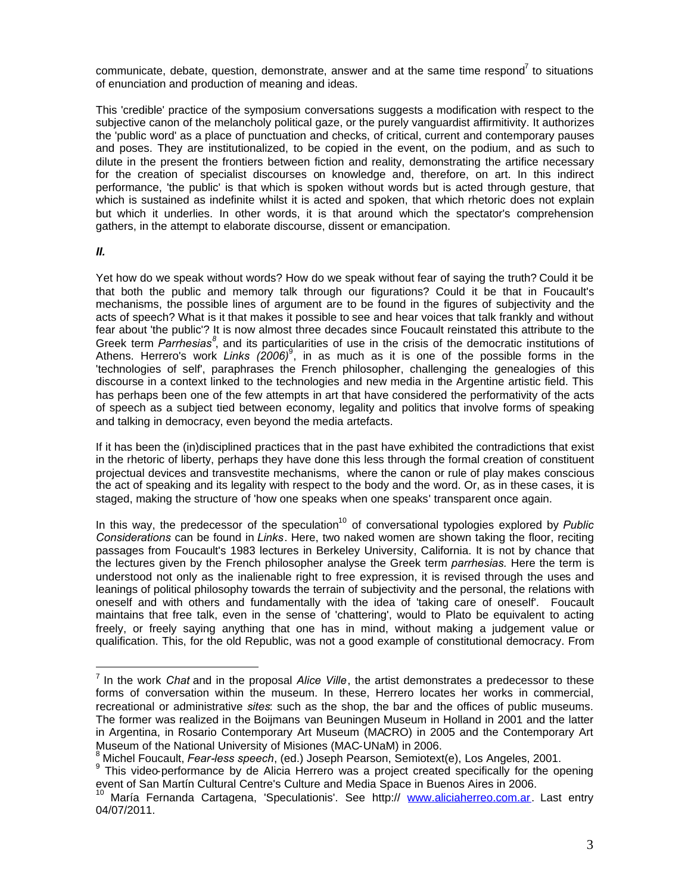communicate, debate, question, demonstrate, answer and at the same time respond<sup>7</sup> to situations of enunciation and production of meaning and ideas.

This 'credible' practice of the symposium conversations suggests a modification with respect to the subjective canon of the melancholy political gaze, or the purely vanguardist affirmitivity. It authorizes the 'public word' as a place of punctuation and checks, of critical, current and contemporary pauses and poses. They are institutionalized, to be copied in the event, on the podium, and as such to dilute in the present the frontiers between fiction and reality, demonstrating the artifice necessary for the creation of specialist discourses on knowledge and, therefore, on art. In this indirect performance, 'the public' is that which is spoken without words but is acted through gesture, that which is sustained as indefinite whilst it is acted and spoken, that which rhetoric does not explain but which it underlies. In other words, it is that around which the spectator's comprehension gathers, in the attempt to elaborate discourse, dissent or emancipation.

## *II.*

Yet how do we speak without words? How do we speak without fear of saying the truth? Could it be that both the public and memory talk through our figurations? Could it be that in Foucault's mechanisms, the possible lines of argument are to be found in the figures of subjectivity and the acts of speech? What is it that makes it possible to see and hear voices that talk frankly and without fear about 'the public'? It is now almost three decades since Foucault reinstated this attribute to the Greek term *Parrhesias*<sup>8</sup>, and its particularities of use in the crisis of the democratic institutions of Athens. Herrero's work *Links (2006)*<sup>9</sup>, in as much as it is one of the possible forms in the 'technologies of self', paraphrases the French philosopher, challenging the genealogies of this discourse in a context linked to the technologies and new media in the Argentine artistic field. This has perhaps been one of the few attempts in art that have considered the performativity of the acts of speech as a subject tied between economy, legality and politics that involve forms of speaking and talking in democracy, even beyond the media artefacts.

If it has been the (in)disciplined practices that in the past have exhibited the contradictions that exist in the rhetoric of liberty, perhaps they have done this less through the formal creation of constituent projectual devices and transvestite mechanisms, where the canon or rule of play makes conscious the act of speaking and its legality with respect to the body and the word. Or, as in these cases, it is staged, making the structure of 'how one speaks when one speaks' transparent once again.

In this way, the predecessor of the speculation<sup>10</sup> of conversational typologies explored by *Public Considerations* can be found in *Links*. Here, two naked women are shown taking the floor, reciting passages from Foucault's 1983 lectures in Berkeley University, California. It is not by chance that the lectures given by the French philosopher analyse the Greek term *parrhesias.* Here the term is understood not only as the inalienable right to free expression, it is revised through the uses and leanings of political philosophy towards the terrain of subjectivity and the personal, the relations with oneself and with others and fundamentally with the idea of 'taking care of oneself'. Foucault maintains that free talk, even in the sense of 'chattering', would to Plato be equivalent to acting freely, or freely saying anything that one has in mind, without making a judgement value or qualification. This, for the old Republic, was not a good example of constitutional democracy. From

<sup>7</sup> In the work *Chat* and in the proposal *Alice Ville*, the artist demonstrates a predecessor to these forms of conversation within the museum. In these, Herrero locates her works in commercial, recreational or administrative *sites*: such as the shop, the bar and the offices of public museums. The former was realized in the Boijmans van Beuningen Museum in Holland in 2001 and the latter in Argentina, in Rosario Contemporary Art Museum (MACRO) in 2005 and the Contemporary Art Museum of the National University of Misiones (MAC-UNaM) in 2006.

<sup>8</sup> Michel Foucault, *Fear-less speech*, (ed.) Joseph Pearson, Semiotext(e), Los Angeles, 2001.

<sup>&</sup>lt;sup>9</sup> This video-performance by de Alicia Herrero was a project created specifically for the opening event of San Martín Cultural Centre's Culture and Media Space in Buenos Aires in 2006.

María Fernanda Cartagena, 'Speculationis'. See http:// www.aliciaherreo.com.ar. Last entry 04/07/2011.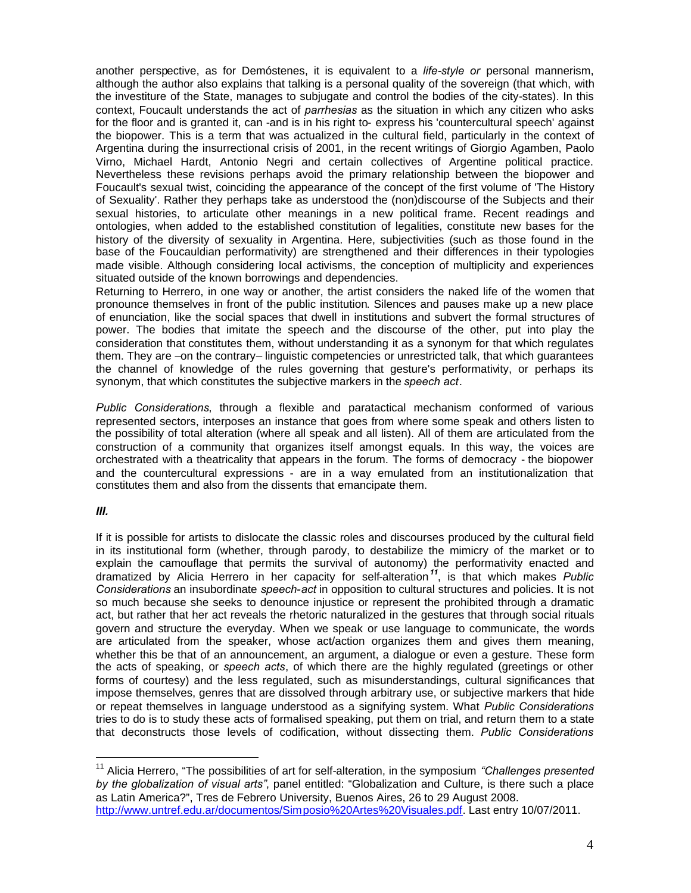another perspective, as for Demóstenes, it is equivalent to a *life-style or* personal mannerism, although the author also explains that talking is a personal quality of the sovereign (that which, with the investiture of the State, manages to subjugate and control the bodies of the city-states). In this context, Foucault understands the act of *parrhesias* as the situation in which any citizen who asks for the floor and is granted it, can -and is in his right to- express his 'countercultural speech' against the biopower. This is a term that was actualized in the cultural field, particularly in the context of Argentina during the insurrectional crisis of 2001, in the recent writings of Giorgio Agamben, Paolo Virno, Michael Hardt, Antonio Negri and certain collectives of Argentine political practice. Nevertheless these revisions perhaps avoid the primary relationship between the biopower and Foucault's sexual twist, coinciding the appearance of the concept of the first volume of 'The History of Sexuality'. Rather they perhaps take as understood the (non)discourse of the Subjects and their sexual histories, to articulate other meanings in a new political frame. Recent readings and ontologies, when added to the established constitution of legalities, constitute new bases for the history of the diversity of sexuality in Argentina. Here, subjectivities (such as those found in the base of the Foucauldian performativity) are strengthened and their differences in their typologies made visible. Although considering local activisms, the conception of multiplicity and experiences situated outside of the known borrowings and dependencies.

Returning to Herrero, in one way or another, the artist considers the naked life of the women that pronounce themselves in front of the public institution. Silences and pauses make up a new place of enunciation, like the social spaces that dwell in institutions and subvert the formal structures of power. The bodies that imitate the speech and the discourse of the other, put into play the consideration that constitutes them, without understanding it as a synonym for that which regulates them. They are –on the contrary– linguistic competencies or unrestricted talk, that which guarantees the channel of knowledge of the rules governing that gesture's performativity, or perhaps its synonym, that which constitutes the subjective markers in the *speech act*.

*Public Considerations*, through a flexible and paratactical mechanism conformed of various represented sectors, interposes an instance that goes from where some speak and others listen to the possibility of total alteration (where all speak and all listen). All of them are articulated from the construction of a community that organizes itself amongst equals. In this way, the voices are orchestrated with a theatricality that appears in the forum. The forms of democracy - the biopower and the countercultural expressions - are in a way emulated from an institutionalization that constitutes them and also from the dissents that emancipate them.

## *III.*

If it is possible for artists to dislocate the classic roles and discourses produced by the cultural field in its institutional form (whether, through parody, to destabilize the mimicry of the market or to explain the camouflage that permits the survival of autonomy) the performativity enacted and dramatized by Alicia Herrero in her capacity for self-alteration*<sup>11</sup>*, is that which makes *Public Considerations* an insubordinate *speech-act* in opposition to cultural structures and policies. It is not so much because she seeks to denounce injustice or represent the prohibited through a dramatic act, but rather that her act reveals the rhetoric naturalized in the gestures that through social rituals govern and structure the everyday. When we speak or use language to communicate, the words are articulated from the speaker, whose act/action organizes them and gives them meaning, whether this be that of an announcement, an argument, a dialogue or even a gesture. These form the acts of speaking, or *speech acts*, of which there are the highly regulated (greetings or other forms of courtesy) and the less regulated, such as misunderstandings, cultural significances that impose themselves, genres that are dissolved through arbitrary use, or subjective markers that hide or repeat themselves in language understood as a signifying system. What *Public Considerations* tries to do is to study these acts of formalised speaking, put them on trial, and return them to a state that deconstructs those levels of codification, without dissecting them. *Public Considerations*

<sup>&</sup>lt;sup>11</sup> Alicia Herrero, "The possibilities of art for self-alteration, in the symposium "Challenges presented *by the globalization of visual arts"*, panel entitled: "Globalization and Culture, is there such a place as Latin America?", Tres de Febrero University, Buenos Aires, 26 to 29 August 2008. http://www.untref.edu.ar/documentos/Simposio%20Artes%20Visuales.pdf. Last entry 10/07/2011.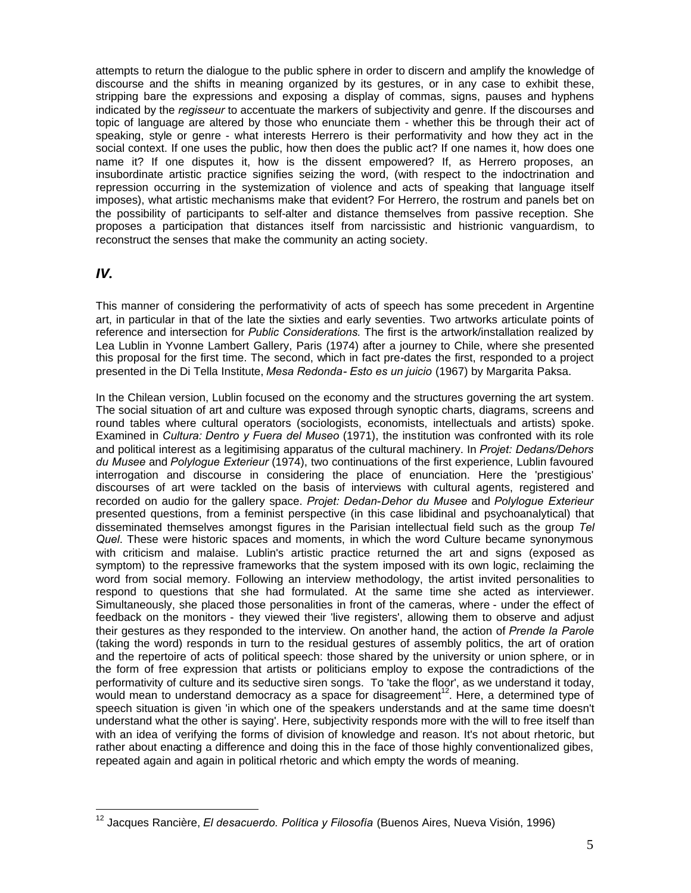attempts to return the dialogue to the public sphere in order to discern and amplify the knowledge of discourse and the shifts in meaning organized by its gestures, or in any case to exhibit these, stripping bare the expressions and exposing a display of commas, signs, pauses and hyphens indicated by the *regisseur* to accentuate the markers of subjectivity and genre. If the discourses and topic of language are altered by those who enunciate them - whether this be through their act of speaking, style or genre - what interests Herrero is their performativity and how they act in the social context. If one uses the public, how then does the public act? If one names it, how does one name it? If one disputes it, how is the dissent empowered? If, as Herrero proposes, an insubordinate artistic practice signifies seizing the word, (with respect to the indoctrination and repression occurring in the systemization of violence and acts of speaking that language itself imposes), what artistic mechanisms make that evident? For Herrero, the rostrum and panels bet on the possibility of participants to self-alter and distance themselves from passive reception. She proposes a participation that distances itself from narcissistic and histrionic vanguardism, to reconstruct the senses that make the community an acting society.

## *IV.*

This manner of considering the performativity of acts of speech has some precedent in Argentine art, in particular in that of the late the sixties and early seventies. Two artworks articulate points of reference and intersection for *Public Considerations.* The first is the artwork/installation realized by Lea Lublin in Yvonne Lambert Gallery, Paris (1974) after a journey to Chile, where she presented this proposal for the first time. The second, which in fact pre-dates the first, responded to a project presented in the Di Tella Institute, *Mesa Redonda- Esto es un juicio* (1967) by Margarita Paksa.

In the Chilean version, Lublin focused on the economy and the structures governing the art system. The social situation of art and culture was exposed through synoptic charts, diagrams, screens and round tables where cultural operators (sociologists, economists, intellectuals and artists) spoke. Examined in *Cultura: Dentro y Fuera del Museo* (1971), the institution was confronted with its role and political interest as a legitimising apparatus of the cultural machinery. In *Projet: Dedans/Dehors du Musee* and *Polylogue Exterieur* (1974), two continuations of the first experience, Lublin favoured interrogation and discourse in considering the place of enunciation. Here the 'prestigious' discourses of art were tackled on the basis of interviews with cultural agents, registered and recorded on audio for the gallery space. *Projet: Dedan-Dehor du Musee* and *Polylogue Exterieur* presented questions, from a feminist perspective (in this case libidinal and psychoanalytical) that disseminated themselves amongst figures in the Parisian intellectual field such as the group *Tel Quel*. These were historic spaces and moments, in which the word Culture became synonymous with criticism and malaise. Lublin's artistic practice returned the art and signs (exposed as symptom) to the repressive frameworks that the system imposed with its own logic, reclaiming the word from social memory. Following an interview methodology, the artist invited personalities to respond to questions that she had formulated. At the same time she acted as interviewer. Simultaneously, she placed those personalities in front of the cameras, where - under the effect of feedback on the monitors - they viewed their 'live registers', allowing them to observe and adjust their gestures as they responded to the interview. On another hand, the action of *Prende la Parole* (taking the word) responds in turn to the residual gestures of assembly politics, the art of oration and the repertoire of acts of political speech: those shared by the university or union sphere, or in the form of free expression that artists or politicians employ to expose the contradictions of the performativity of culture and its seductive siren songs. To 'take the floor', as we understand it today, would mean to understand democracy as a space for disagreement<sup>12</sup>. Here, a determined type of speech situation is given 'in which one of the speakers understands and at the same time doesn't understand what the other is saying'. Here, subjectivity responds more with the will to free itself than with an idea of verifying the forms of division of knowledge and reason. It's not about rhetoric, but rather about enacting a difference and doing this in the face of those highly conventionalized gibes, repeated again and again in political rhetoric and which empty the words of meaning.

<sup>12</sup> Jacques Rancière, *El desacuerdo. Política y Filosofía* (Buenos Aires, Nueva Visión, 1996)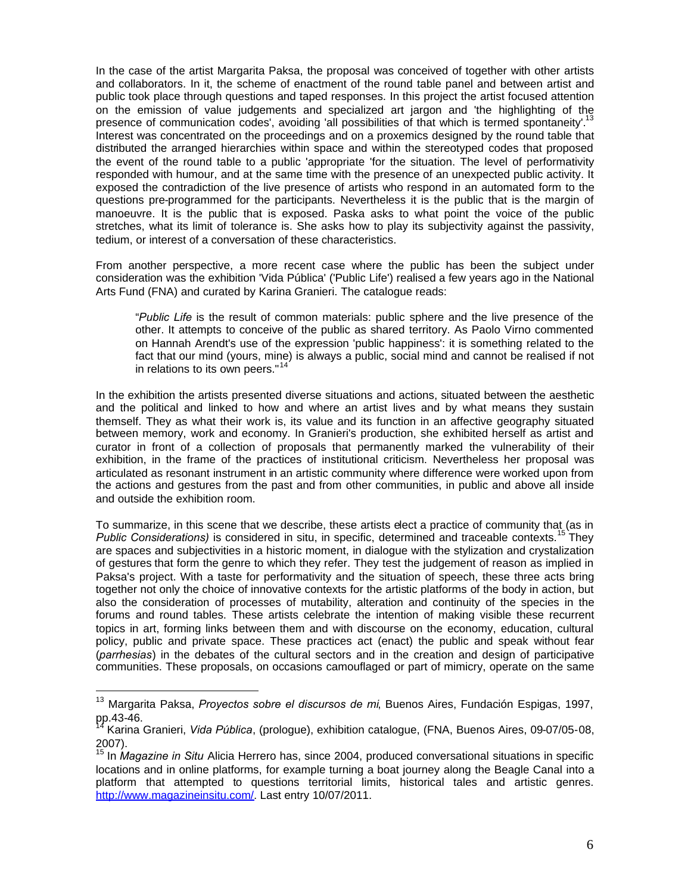In the case of the artist Margarita Paksa, the proposal was conceived of together with other artists and collaborators. In it, the scheme of enactment of the round table panel and between artist and public took place through questions and taped responses. In this project the artist focused attention on the emission of value judgements and specialized art jargon and 'the highlighting of the presence of communication codes', avoiding 'all possibilities of that which is termed spontaneity'.<sup>13</sup> Interest was concentrated on the proceedings and on a proxemics designed by the round table that distributed the arranged hierarchies within space and within the stereotyped codes that proposed the event of the round table to a public 'appropriate 'for the situation. The level of performativity responded with humour, and at the same time with the presence of an unexpected public activity. It exposed the contradiction of the live presence of artists who respond in an automated form to the questions pre-programmed for the participants. Nevertheless it is the public that is the margin of manoeuvre. It is the public that is exposed. Paska asks to what point the voice of the public stretches, what its limit of tolerance is. She asks how to play its subjectivity against the passivity, tedium, or interest of a conversation of these characteristics.

From another perspective, a more recent case where the public has been the subject under consideration was the exhibition 'Vida Pública' ('Public Life') realised a few years ago in the National Arts Fund (FNA) and curated by Karina Granieri. The catalogue reads:

"*Public Life* is the result of common materials: public sphere and the live presence of the other. It attempts to conceive of the public as shared territory. As Paolo Virno commented on Hannah Arendt's use of the expression 'public happiness': it is something related to the fact that our mind (yours, mine) is always a public, social mind and cannot be realised if not in relations to its own peers."<sup>14'</sup>

In the exhibition the artists presented diverse situations and actions, situated between the aesthetic and the political and linked to how and where an artist lives and by what means they sustain themself. They as what their work is, its value and its function in an affective geography situated between memory, work and economy. In Granieri's production, she exhibited herself as artist and curator in front of a collection of proposals that permanently marked the vulnerability of their exhibition, in the frame of the practices of institutional criticism. Nevertheless her proposal was articulated as resonant instrument in an artistic community where difference were worked upon from the actions and gestures from the past and from other communities, in public and above all inside and outside the exhibition room.

To summarize, in this scene that we describe, these artists elect a practice of community that (as in *Public Considerations)* is considered in situ, in specific, determined and traceable contexts.<sup>15</sup> They are spaces and subjectivities in a historic moment, in dialogue with the stylization and crystalization of gestures that form the genre to which they refer. They test the judgement of reason as implied in Paksa's project. With a taste for performativity and the situation of speech, these three acts bring together not only the choice of innovative contexts for the artistic platforms of the body in action, but also the consideration of processes of mutability, alteration and continuity of the species in the forums and round tables. These artists celebrate the intention of making visible these recurrent topics in art, forming links between them and with discourse on the economy, education, cultural policy, public and private space. These practices act (enact) the public and speak without fear (*parrhesias*) in the debates of the cultural sectors and in the creation and design of participative communities. These proposals, on occasions camouflaged or part of mimicry, operate on the same

<sup>13</sup> Margarita Paksa, *Proyectos sobre el discursos de mi*, Buenos Aires, Fundación Espigas, 1997, pp.43-46.

<sup>14</sup> Karina Granieri, *Vida Pública*, (prologue), exhibition catalogue, (FNA, Buenos Aires, 09-07/05-08, 2007).

<sup>15</sup> In *Magazine in Situ* Alicia Herrero has, since 2004, produced conversational situations in specific locations and in online platforms, for example turning a boat journey along the Beagle Canal into a platform that attempted to questions territorial limits, historical tales and artistic genres. http://www.magazineinsitu.com/. Last entry 10/07/2011.